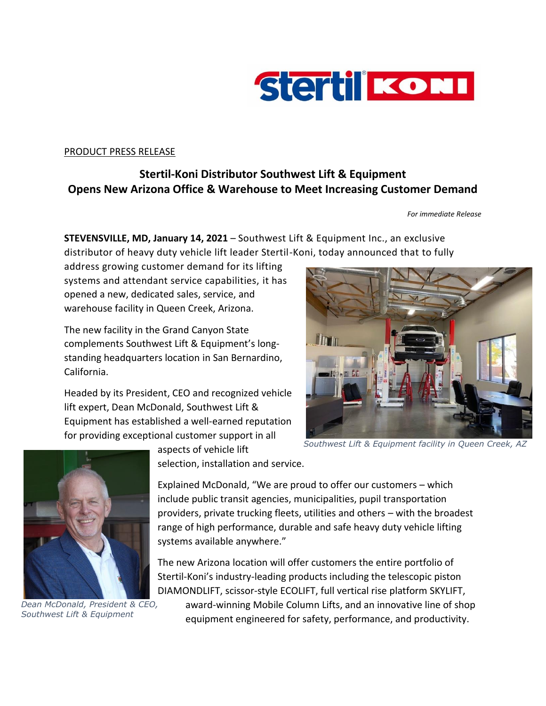

## PRODUCT PRESS RELEASE

## **Stertil-Koni Distributor Southwest Lift & Equipment Opens New Arizona Office & Warehouse to Meet Increasing Customer Demand**

## *For immediate Release*

**STEVENSVILLE, MD, January 14, 2021** – Southwest Lift & Equipment Inc., an exclusive distributor of heavy duty vehicle lift leader Stertil-Koni, today announced that to fully

address growing customer demand for its lifting systems and attendant service capabilities, it has opened a new, dedicated sales, service, and warehouse facility in Queen Creek, Arizona.

The new facility in the Grand Canyon State complements Southwest Lift & Equipment's longstanding headquarters location in San Bernardino, California.

Headed by its President, CEO and recognized vehicle lift expert, Dean McDonald, Southwest Lift & Equipment has established a well-earned reputation for providing exceptional customer support in all





*Dean McDonald, President & CEO, Southwest Lift & Equipment*

aspects of vehicle lift selection, installation and service.

Explained McDonald, "We are proud to offer our customers – which include public transit agencies, municipalities, pupil transportation providers, private trucking fleets, utilities and others – with the broadest range of high performance, durable and safe heavy duty vehicle lifting systems available anywhere."

The new Arizona location will offer customers the entire portfolio of Stertil-Koni's industry-leading products including the telescopic piston DIAMONDLIFT, scissor-style ECOLIFT, full vertical rise platform SKYLIFT,

award-winning Mobile Column Lifts, and an innovative line of shop equipment engineered for safety, performance, and productivity.